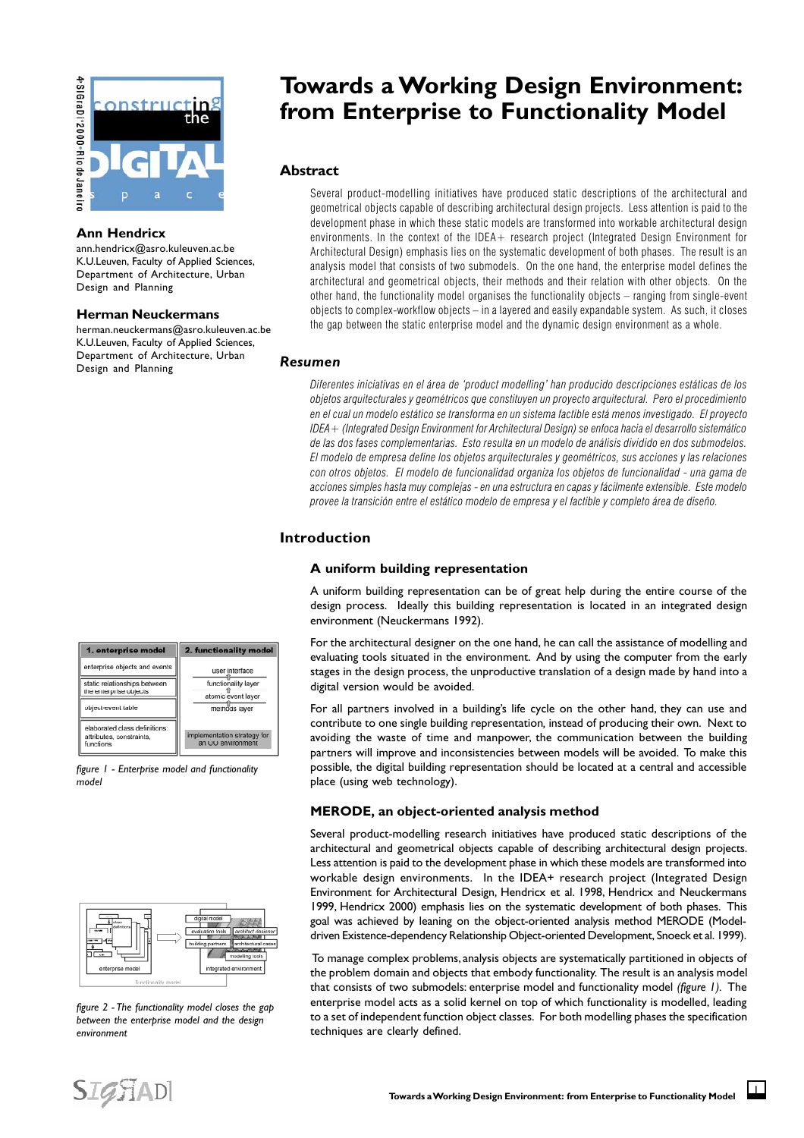

#### **Ann Hendricx**

ann.hendricx@asro.kuleuven.ac.be K.U.Leuven, Faculty of Applied Sciences, Department of Architecture, Urban Design and Planning

#### **Herman Neuckermans**

herman.neuckermans@asro.kuleuven.ac.be K.U.Leuven, Faculty of Applied Sciences, Department of Architecture, Urban Design and Planning

| 1. enterprise model                                                    | 2. functionality model                                                       |
|------------------------------------------------------------------------|------------------------------------------------------------------------------|
| enterprise objects and events                                          | user interface<br>functionality layer<br>atomic event layer<br>methods layer |
| static relationships between<br>the enterprise objects                 |                                                                              |
| object-event table                                                     |                                                                              |
| elaborated class definitions:<br>attributes, constraints,<br>functions | implementation strategy for<br>an OO environment                             |

*figure 1 - Enterprise model and functionality model*



*figure 2 - The functionality model closes the gap between the enterprise model and the design environment*

# **Towards a Working Design Environment: from Enterprise to Functionality Model**

## **Abstract**

Several product-modelling initiatives have produced static descriptions of the architectural and geometrical objects capable of describing architectural design projects. Less attention is paid to the development phase in which these static models are transformed into workable architectural design environments. In the context of the IDEA + research project (Integrated Design Environment for Architectural Design) emphasis lies on the systematic development of both phases. The result is an analysis model that consists of two submodels. On the one hand, the enterprise model defines the architectural and geometrical objects, their methods and their relation with other objects. On the other hand, the functionality model organises the functionality objects  $-$  ranging from single-event objects to complex-workflow objects  $-$  in a layered and easily expandable system. As such, it closes the gap between the static enterprise model and the dynamic design environment as a whole.

#### *Resumen*

Diferentes iniciativas en el área de 'product modelling' han producido descripciones estáticas de los objetos arquitecturales y geométricos que constituyen un proyecto arquitectural. Pero el procedimiento en el cual un modelo estático se transforma en un sistema factible está menos investigado. El proyecto IDEA+ (Integrated Design Environment for Architectural Design) se enfoca hacia el desarrollo sistemático de las dos fases complementarias. Esto resulta en un modelo de análisis dividido en dos submodelos. El modelo de empresa define los objetos arquitecturales y geométricos, sus acciones y las relaciones con otros objetos. El modelo de funcionalidad organiza los objetos de funcionalidad - una gama de acciones simples hasta muy complejas - en una estructura en capas y fácilmente extensible. Este modelo provee la transición entre el estático modelo de empresa y el factible y completo área de diseño.

# **Introduction**

#### **A uniform building representation**

A uniform building representation can be of great help during the entire course of the design process. Ideally this building representation is located in an integrated design environment (Neuckermans 1992).

For the architectural designer on the one hand, he can call the assistance of modelling and evaluating tools situated in the environment. And by using the computer from the early stages in the design process, the unproductive translation of a design made by hand into a digital version would be avoided.

For all partners involved in a building's life cycle on the other hand, they can use and contribute to one single building representation*,* instead of producing their own. Next to avoiding the waste of time and manpower, the communication between the building partners will improve and inconsistencies between models will be avoided. To make this possible, the digital building representation should be located at a central and accessible place (using web technology).

## **MERODE, an object-oriented analysis method**

Several product-modelling research initiatives have produced static descriptions of the architectural and geometrical objects capable of describing architectural design projects. Less attention is paid to the development phase in which these models are transformed into workable design environments. In the IDEA+ research project (Integrated Design Environment for Architectural Design, Hendricx et al. 1998, Hendricx and Neuckermans 1999, Hendricx 2000) emphasis lies on the systematic development of both phases. This goal was achieved by leaning on the object-oriented analysis method MERODE (Modeldriven Existence-dependency Relationship Object-oriented Development, Snoeck et al. 1999).

 To manage complex problems, analysis objects are systematically partitioned in objects of the problem domain and objects that embody functionality. The result is an analysis model that consists of two submodels: enterprise model and functionality model *(figure 1).* The enterprise model acts as a solid kernel on top of which functionality is modelled, leading to a set of independent function object classes. For both modelling phases the specification techniques are clearly defined.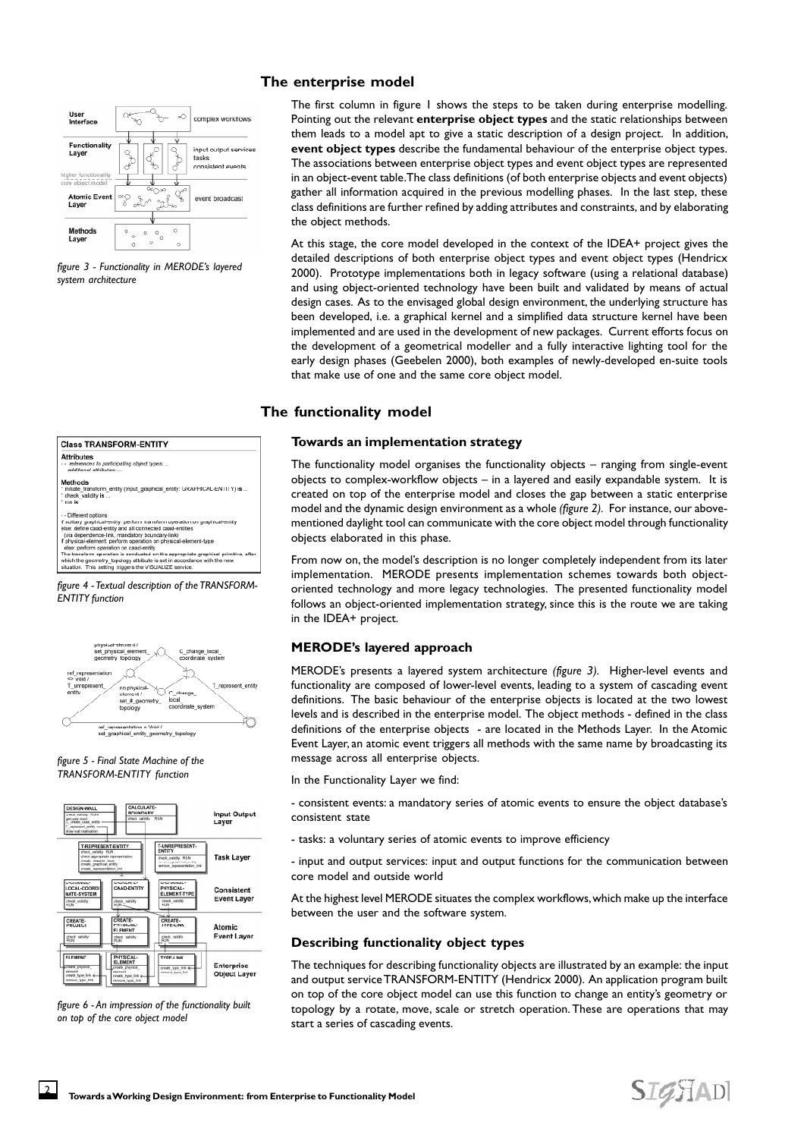

*figure 3 - Functionality in MERODE's layered system architecture*



*figure 4 - Textual description of the TRANSFORM-*

*ENTITY function*



*figure 5 - Final State Machine of the TRANSFORM-ENTITY function*



*figure 6 - An impression of the functionality built on top of the core object model*

## **The enterprise model**

The first column in figure 1 shows the steps to be taken during enterprise modelling. Pointing out the relevant **enterprise object types** and the static relationships between them leads to a model apt to give a static description of a design project. In addition, **event object types** describe the fundamental behaviour of the enterprise object types. The associations between enterprise object types and event object types are represented in an object-event table. The class definitions (of both enterprise objects and event objects) gather all information acquired in the previous modelling phases. In the last step, these class definitions are further refined by adding attributes and constraints, and by elaborating the object methods.

At this stage, the core model developed in the context of the IDEA+ project gives the detailed descriptions of both enterprise object types and event object types (Hendricx 2000). Prototype implementations both in legacy software (using a relational database) and using object-oriented technology have been built and validated by means of actual design cases. As to the envisaged global design environment, the underlying structure has been developed, i.e. a graphical kernel and a simplified data structure kernel have been implemented and are used in the development of new packages. Current efforts focus on the development of a geometrical modeller and a fully interactive lighting tool for the early design phases (Geebelen 2000), both examples of newly-developed en-suite tools that make use of one and the same core object model.

# **The functionality model**

#### **Towards an implementation strategy**

The functionality model organises the functionality objects – ranging from single-event objects to complex-workflow objects – in a layered and easily expandable system. It is created on top of the enterprise model and closes the gap between a static enterprise model and the dynamic design environment as a whole *(figure 2).* For instance, our abovementioned daylight tool can communicate with the core object model through functionality objects elaborated in this phase.

From now on, the model's description is no longer completely independent from its later implementation. MERODE presents implementation schemes towards both objectoriented technology and more legacy technologies. The presented functionality model follows an object-oriented implementation strategy, since this is the route we are taking in the IDEA+ project.

## **MERODE's layered approach**

MERODE's presents a layered system architecture *(figure 3).* Higher-level events and functionality are composed of lower-level events, leading to a system of cascading event definitions. The basic behaviour of the enterprise objects is located at the two lowest levels and is described in the enterprise model. The object methods - defined in the class definitions of the enterprise objects - are located in the Methods Layer. In the Atomic Event Layer, an atomic event triggers all methods with the same name by broadcasting its message across all enterprise objects.

In the Functionality Layer we find:

- consistent events: a mandatory series of atomic events to ensure the object database's consistent state

- tasks: a voluntary series of atomic events to improve efficiency

- input and output services: input and output functions for the communication between core model and outside world

At the highest level MERODE situates the complex workflows, which make up the interface between the user and the software system.

## **Describing functionality object types**

The techniques for describing functionality objects are illustrated by an example: the input and output service TRANSFORM-ENTITY (Hendricx 2000). An application program built on top of the core object model can use this function to change an entity's geometry or topology by a rotate, move, scale or stretch operation. These are operations that may start a series of cascading events.